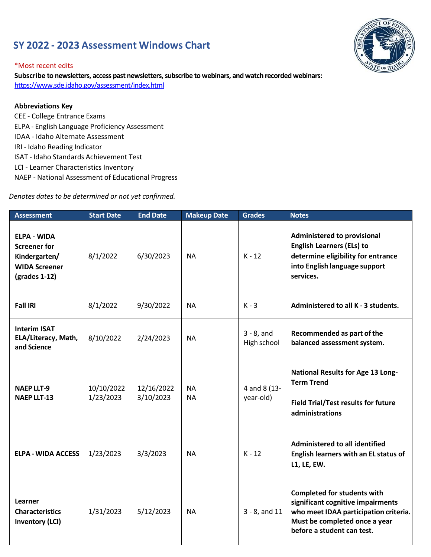## **SY 2022 - 2023 Assessment Windows Chart**



## \*Most recent edits

**Subscribe to newsletters, access past newsletters, subscribe to webinars, and watch recorded webinars:** <https://www.sde.idaho.gov/assessment/index.html>

## **Abbreviations Key**

- CEE College Entrance Exams ELPA - English Language Proficiency Assessment IDAA - Idaho Alternate Assessment IRI - Idaho Reading Indicator ISAT - Idaho Standards Achievement Test
- LCI Learner Characteristics Inventory
- NAEP National Assessment of Educational Progress

*Denotes dates to be determined or not yet confirmed.*

| <b>Assessment</b>                                                                                     | <b>Start Date</b>       | <b>End Date</b>         | <b>Makeup Date</b>     | <b>Grades</b>                | <b>Notes</b>                                                                                                                                                                    |
|-------------------------------------------------------------------------------------------------------|-------------------------|-------------------------|------------------------|------------------------------|---------------------------------------------------------------------------------------------------------------------------------------------------------------------------------|
| <b>ELPA - WIDA</b><br><b>Screener for</b><br>Kindergarten/<br><b>WIDA Screener</b><br>$(grades 1-12)$ | 8/1/2022                | 6/30/2023               | <b>NA</b>              | $K - 12$                     | <b>Administered to provisional</b><br><b>English Learners (ELs) to</b><br>determine eligibility for entrance<br>into English language support<br>services.                      |
| <b>Fall IRI</b>                                                                                       | 8/1/2022                | 9/30/2022               | <b>NA</b>              | $K - 3$                      | Administered to all K - 3 students.                                                                                                                                             |
| <b>Interim ISAT</b><br>ELA/Literacy, Math,<br>and Science                                             | 8/10/2022               | 2/24/2023               | <b>NA</b>              | $3 - 8$ , and<br>High school | Recommended as part of the<br>balanced assessment system.                                                                                                                       |
| <b>NAEP LLT-9</b><br><b>NAEP LLT-13</b>                                                               | 10/10/2022<br>1/23/2023 | 12/16/2022<br>3/10/2023 | <b>NA</b><br><b>NA</b> | 4 and 8 (13-<br>year-old)    | <b>National Results for Age 13 Long-</b><br><b>Term Trend</b><br><b>Field Trial/Test results for future</b><br>administrations                                                  |
| <b>ELPA - WIDA ACCESS</b>                                                                             | 1/23/2023               | 3/3/2023                | <b>NA</b>              | $K - 12$                     | Administered to all identified<br>English learners with an EL status of<br>L1, LE, EW.                                                                                          |
| Learner<br><b>Characteristics</b><br><b>Inventory (LCI)</b>                                           | 1/31/2023               | 5/12/2023               | <b>NA</b>              | $3 - 8$ , and 11             | <b>Completed for students with</b><br>significant cognitive impairments<br>who meet IDAA participation criteria.<br>Must be completed once a year<br>before a student can test. |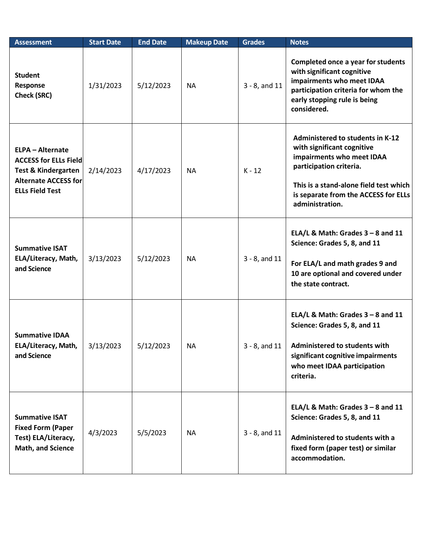| <b>Assessment</b>                                                                                                                                  | <b>Start Date</b> | <b>End Date</b> | <b>Makeup Date</b> | <b>Grades</b>    | <b>Notes</b>                                                                                                                                                                                                                       |
|----------------------------------------------------------------------------------------------------------------------------------------------------|-------------------|-----------------|--------------------|------------------|------------------------------------------------------------------------------------------------------------------------------------------------------------------------------------------------------------------------------------|
| <b>Student</b><br>Response<br><b>Check (SRC)</b>                                                                                                   | 1/31/2023         | 5/12/2023       | <b>NA</b>          | $3 - 8$ , and 11 | Completed once a year for students<br>with significant cognitive<br>impairments who meet IDAA<br>participation criteria for whom the<br>early stopping rule is being<br>considered.                                                |
| <b>ELPA - Alternate</b><br><b>ACCESS for ELLs Field</b><br><b>Test &amp; Kindergarten</b><br><b>Alternate ACCESS for</b><br><b>ELLs Field Test</b> | 2/14/2023         | 4/17/2023       | <b>NA</b>          | $K - 12$         | <b>Administered to students in K-12</b><br>with significant cognitive<br>impairments who meet IDAA<br>participation criteria.<br>This is a stand-alone field test which<br>is separate from the ACCESS for ELLs<br>administration. |
| <b>Summative ISAT</b><br>ELA/Literacy, Math,<br>and Science                                                                                        | 3/13/2023         | 5/12/2023       | <b>NA</b>          | $3 - 8$ , and 11 | ELA/L & Math: Grades $3 - 8$ and 11<br>Science: Grades 5, 8, and 11<br>For ELA/L and math grades 9 and<br>10 are optional and covered under<br>the state contract.                                                                 |
| <b>Summative IDAA</b><br>ELA/Literacy, Math,<br>and Science                                                                                        | 3/13/2023         | 5/12/2023       | NA.                | $3 - 8$ , and 11 | ELA/L & Math: Grades $3 - 8$ and 11<br>Science: Grades 5, 8, and 11<br>Administered to students with<br>significant cognitive impairments<br>who meet IDAA participation<br>criteria.                                              |
| <b>Summative ISAT</b><br><b>Fixed Form (Paper</b><br>Test) ELA/Literacy,<br>Math, and Science                                                      | 4/3/2023          | 5/5/2023        | <b>NA</b>          | $3 - 8$ , and 11 | ELA/L & Math: Grades $3 - 8$ and 11<br>Science: Grades 5, 8, and 11<br>Administered to students with a<br>fixed form (paper test) or similar<br>accommodation.                                                                     |